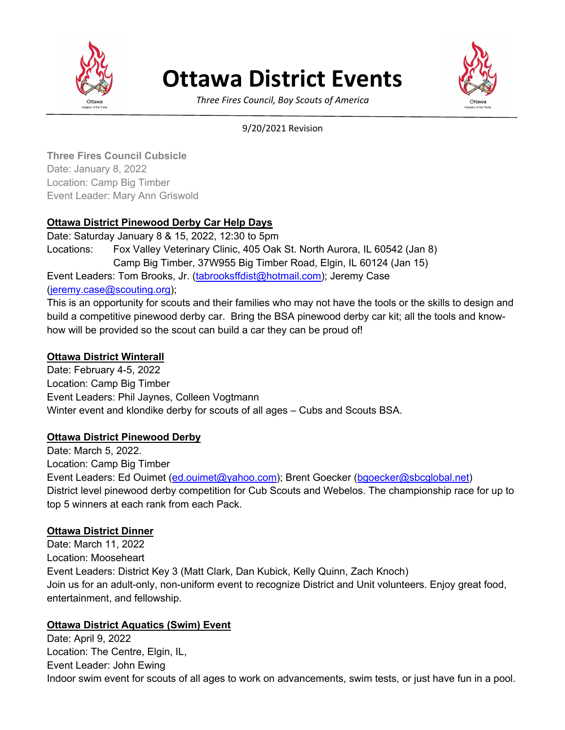

# **Ottawa District Events**



*Three Fires Council, Boy Scouts of America*

#### 9/20/2021 Revision

**Three Fires Council Cubsicle** Date: January 8, 2022 Location: Camp Big Timber Event Leader: Mary Ann Griswold

## **Ottawa District Pinewood Derby Car Help Days**

Date: Saturday January 8 & 15, 2022, 12:30 to 5pm Locations: Fox Valley Veterinary Clinic, 405 Oak St. North Aurora, IL 60542 (Jan 8) Camp Big Timber, 37W955 Big Timber Road, Elgin, IL 60124 (Jan 15) Event Leaders: Tom Brooks, Jr. (tabrooksffdist@hotmail.com); Jeremy Case (jeremy.case@scouting.org);

This is an opportunity for scouts and their families who may not have the tools or the skills to design and build a competitive pinewood derby car. Bring the BSA pinewood derby car kit; all the tools and knowhow will be provided so the scout can build a car they can be proud of!

## **Ottawa District Winterall**

Date: February 4-5, 2022 Location: Camp Big Timber Event Leaders: Phil Jaynes, Colleen Vogtmann Winter event and klondike derby for scouts of all ages – Cubs and Scouts BSA.

## **Ottawa District Pinewood Derby**

Date: March 5, 2022. Location: Camp Big Timber Event Leaders: Ed Ouimet (ed.ouimet@yahoo.com); Brent Goecker (bgoecker@sbcglobal.net) District level pinewood derby competition for Cub Scouts and Webelos. The championship race for up to top 5 winners at each rank from each Pack.

## **Ottawa District Dinner**

Date: March 11, 2022 Location: Mooseheart Event Leaders: District Key 3 (Matt Clark, Dan Kubick, Kelly Quinn, Zach Knoch) Join us for an adult-only, non-uniform event to recognize District and Unit volunteers. Enjoy great food, entertainment, and fellowship.

## **Ottawa District Aquatics (Swim) Event**

Date: April 9, 2022 Location: The Centre, Elgin, IL, Event Leader: John Ewing Indoor swim event for scouts of all ages to work on advancements, swim tests, or just have fun in a pool.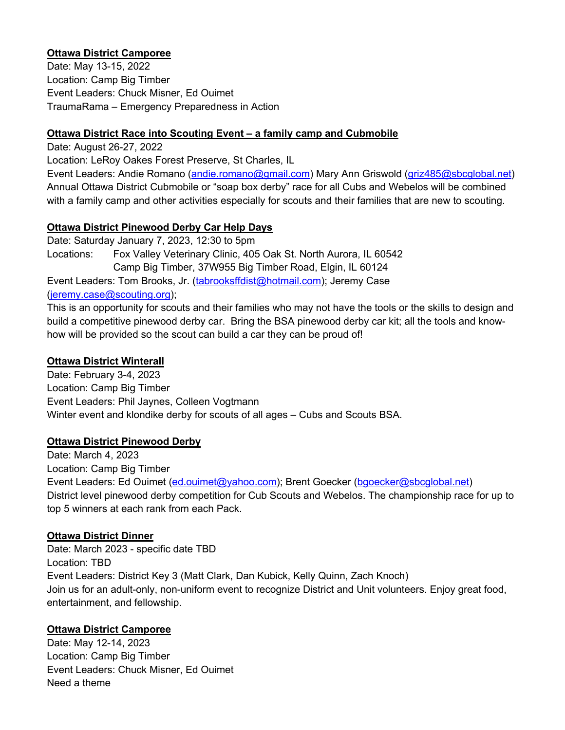## **Ottawa District Camporee**

Date: May 13-15, 2022 Location: Camp Big Timber Event Leaders: Chuck Misner, Ed Ouimet TraumaRama – Emergency Preparedness in Action

#### **Ottawa District Race into Scouting Event – a family camp and Cubmobile**

Date: August 26-27, 2022

Location: LeRoy Oakes Forest Preserve, St Charles, IL

Event Leaders: Andie Romano (andie.romano@gmail.com) Mary Ann Griswold (griz485@sbcglobal.net) Annual Ottawa District Cubmobile or "soap box derby" race for all Cubs and Webelos will be combined with a family camp and other activities especially for scouts and their families that are new to scouting.

## **Ottawa District Pinewood Derby Car Help Days**

Date: Saturday January 7, 2023, 12:30 to 5pm Locations: Fox Valley Veterinary Clinic, 405 Oak St. North Aurora, IL 60542 Camp Big Timber, 37W955 Big Timber Road, Elgin, IL 60124 Event Leaders: Tom Brooks, Jr. (tabrooksffdist@hotmail.com); Jeremy Case (jeremy.case@scouting.org);

This is an opportunity for scouts and their families who may not have the tools or the skills to design and build a competitive pinewood derby car. Bring the BSA pinewood derby car kit; all the tools and knowhow will be provided so the scout can build a car they can be proud of!

## **Ottawa District Winterall**

Date: February 3-4, 2023 Location: Camp Big Timber Event Leaders: Phil Jaynes, Colleen Vogtmann Winter event and klondike derby for scouts of all ages – Cubs and Scouts BSA.

## **Ottawa District Pinewood Derby**

Date: March 4, 2023 Location: Camp Big Timber Event Leaders: Ed Ouimet (ed.ouimet@yahoo.com); Brent Goecker (bgoecker@sbcglobal.net) District level pinewood derby competition for Cub Scouts and Webelos. The championship race for up to top 5 winners at each rank from each Pack.

## **Ottawa District Dinner**

Date: March 2023 - specific date TBD Location: TBD Event Leaders: District Key 3 (Matt Clark, Dan Kubick, Kelly Quinn, Zach Knoch) Join us for an adult-only, non-uniform event to recognize District and Unit volunteers. Enjoy great food, entertainment, and fellowship.

## **Ottawa District Camporee**

Date: May 12-14, 2023 Location: Camp Big Timber Event Leaders: Chuck Misner, Ed Ouimet Need a theme